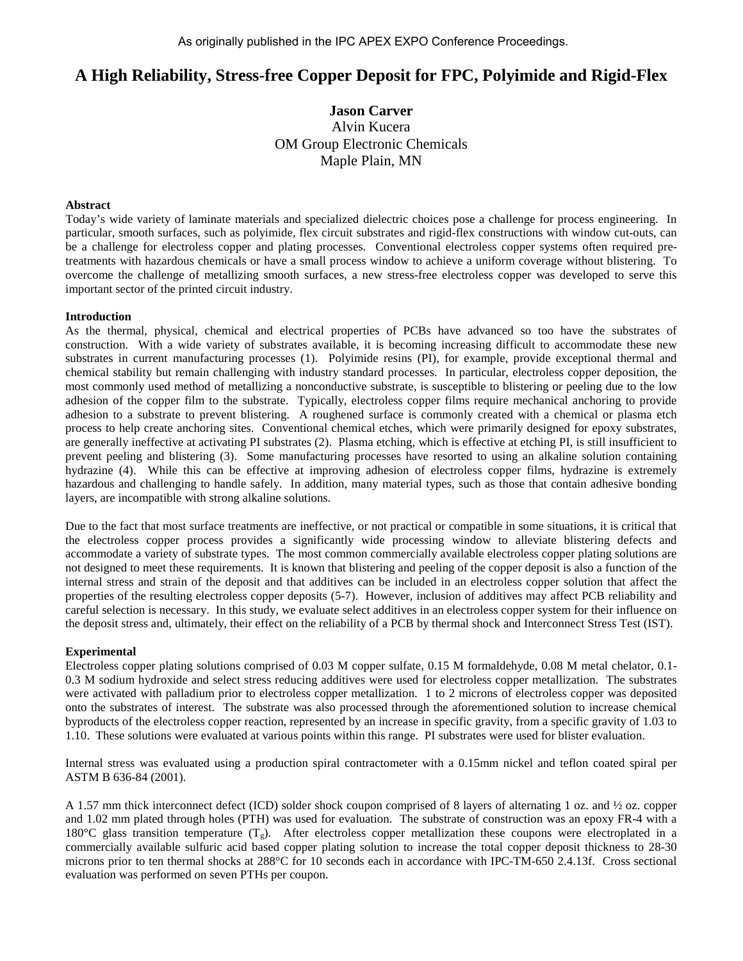# **A High Reliability, Stress-free Copper Deposit for FPC, Polyimide and Rigid-Flex**

**Jason Carver**  Alvin Kucera OM Group Electronic Chemicals Maple Plain, MN

#### **Abstract**

Today's wide variety of laminate materials and specialized dielectric choices pose a challenge for process engineering. In particular, smooth surfaces, such as polyimide, flex circuit substrates and rigid-flex constructions with window cut-outs, can be a challenge for electroless copper and plating processes. Conventional electroless copper systems often required pretreatments with hazardous chemicals or have a small process window to achieve a uniform coverage without blistering. To overcome the challenge of metallizing smooth surfaces, a new stress-free electroless copper was developed to serve this important sector of the printed circuit industry.

#### **Introduction**

As the thermal, physical, chemical and electrical properties of PCBs have advanced so too have the substrates of construction. With a wide variety of substrates available, it is becoming increasing difficult to accommodate these new substrates in current manufacturing processes (1). Polyimide resins (PI), for example, provide exceptional thermal and chemical stability but remain challenging with industry standard processes. In particular, electroless copper deposition, the most commonly used method of metallizing a nonconductive substrate, is susceptible to blistering or peeling due to the low adhesion of the copper film to the substrate. Typically, electroless copper films require mechanical anchoring to provide adhesion to a substrate to prevent blistering. A roughened surface is commonly created with a chemical or plasma etch process to help create anchoring sites. Conventional chemical etches, which were primarily designed for epoxy substrates, are generally ineffective at activating PI substrates (2). Plasma etching, which is effective at etching PI, is still insufficient to prevent peeling and blistering (3). Some manufacturing processes have resorted to using an alkaline solution containing hydrazine (4). While this can be effective at improving adhesion of electroless copper films, hydrazine is extremely hazardous and challenging to handle safely. In addition, many material types, such as those that contain adhesive bonding layers, are incompatible with strong alkaline solutions.

Due to the fact that most surface treatments are ineffective, or not practical or compatible in some situations, it is critical that the electroless copper process provides a significantly wide processing window to alleviate blistering defects and accommodate a variety of substrate types. The most common commercially available electroless copper plating solutions are not designed to meet these requirements. It is known that blistering and peeling of the copper deposit is also a function of the internal stress and strain of the deposit and that additives can be included in an electroless copper solution that affect the properties of the resulting electroless copper deposits (5-7). However, inclusion of additives may affect PCB reliability and careful selection is necessary. In this study, we evaluate select additives in an electroless copper system for their influence on the deposit stress and, ultimately, their effect on the reliability of a PCB by thermal shock and Interconnect Stress Test (IST).

#### **Experimental**

Electroless copper plating solutions comprised of 0.03 M copper sulfate, 0.15 M formaldehyde, 0.08 M metal chelator, 0.1- 0.3 M sodium hydroxide and select stress reducing additives were used for electroless copper metallization. The substrates were activated with palladium prior to electroless copper metallization. 1 to 2 microns of electroless copper was deposited onto the substrates of interest. The substrate was also processed through the aforementioned solution to increase chemical byproducts of the electroless copper reaction, represented by an increase in specific gravity, from a specific gravity of 1.03 to 1.10. These solutions were evaluated at various points within this range. PI substrates were used for blister evaluation.

Internal stress was evaluated using a production spiral contractometer with a 0.15mm nickel and teflon coated spiral per ASTM B 636-84 (2001).

A 1.57 mm thick interconnect defect (ICD) solder shock coupon comprised of 8 layers of alternating 1 oz. and ½ oz. copper and 1.02 mm plated through holes (PTH) was used for evaluation. The substrate of construction was an epoxy FR-4 with a 180°C glass transition temperature  $(T_g)$ . After electroless copper metallization these coupons were electroplated in a commercially available sulfuric acid based copper plating solution to increase the total copper deposit thickness to 28-30 microns prior to ten thermal shocks at 288°C for 10 seconds each in accordance with IPC-TM-650 2.4.13f. Cross sectional evaluation was performed on seven PTHs per coupon.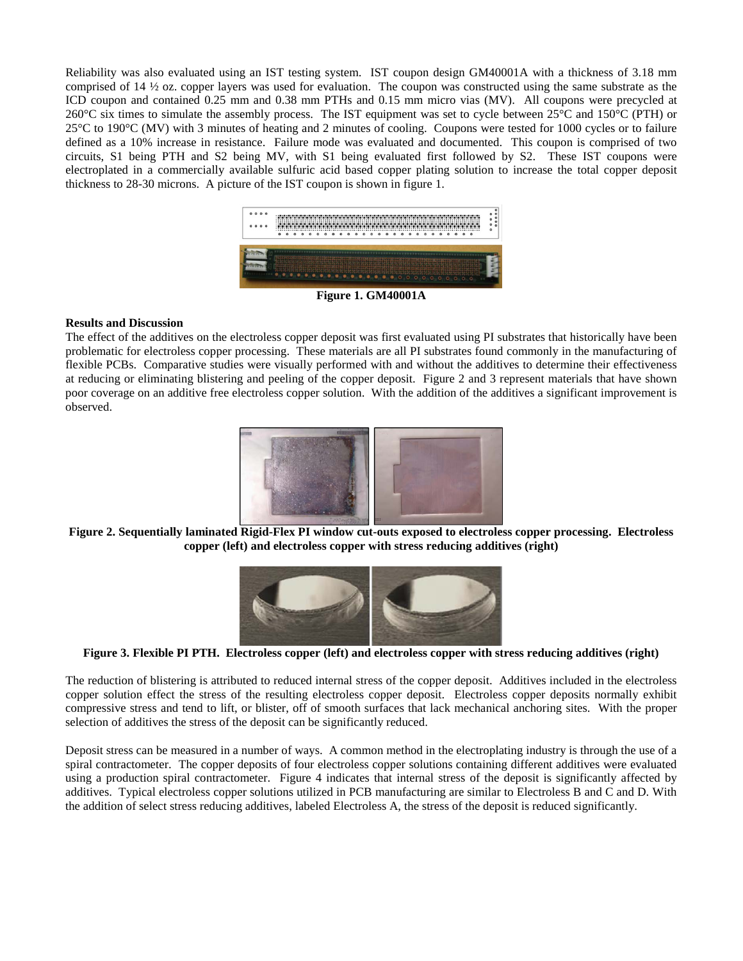Reliability was also evaluated using an IST testing system. IST coupon design GM40001A with a thickness of 3.18 mm comprised of 14 ½ oz. copper layers was used for evaluation. The coupon was constructed using the same substrate as the ICD coupon and contained 0.25 mm and 0.38 mm PTHs and 0.15 mm micro vias (MV). All coupons were precycled at 260°C six times to simulate the assembly process. The IST equipment was set to cycle between 25°C and 150°C (PTH) or 25°C to 190°C (MV) with 3 minutes of heating and 2 minutes of cooling. Coupons were tested for 1000 cycles or to failure defined as a 10% increase in resistance. Failure mode was evaluated and documented. This coupon is comprised of two circuits, S1 being PTH and S2 being MV, with S1 being evaluated first followed by S2. These IST coupons were electroplated in a commercially available sulfuric acid based copper plating solution to increase the total copper deposit thickness to 28-30 microns. A picture of the IST coupon is shown in figure 1.



**Figure 1. GM40001A**

## **Results and Discussion**

The effect of the additives on the electroless copper deposit was first evaluated using PI substrates that historically have been problematic for electroless copper processing. These materials are all PI substrates found commonly in the manufacturing of flexible PCBs. Comparative studies were visually performed with and without the additives to determine their effectiveness at reducing or eliminating blistering and peeling of the copper deposit. Figure 2 and 3 represent materials that have shown poor coverage on an additive free electroless copper solution. With the addition of the additives a significant improvement is observed.



**Figure 2. Sequentially laminated Rigid-Flex PI window cut-outs exposed to electroless copper processing. Electroless copper (left) and electroless copper with stress reducing additives (right)**



**Figure 3. Flexible PI PTH. Electroless copper (left) and electroless copper with stress reducing additives (right)**

The reduction of blistering is attributed to reduced internal stress of the copper deposit. Additives included in the electroless copper solution effect the stress of the resulting electroless copper deposit. Electroless copper deposits normally exhibit compressive stress and tend to lift, or blister, off of smooth surfaces that lack mechanical anchoring sites. With the proper selection of additives the stress of the deposit can be significantly reduced.

Deposit stress can be measured in a number of ways. A common method in the electroplating industry is through the use of a spiral contractometer. The copper deposits of four electroless copper solutions containing different additives were evaluated using a production spiral contractometer. Figure 4 indicates that internal stress of the deposit is significantly affected by additives. Typical electroless copper solutions utilized in PCB manufacturing are similar to Electroless B and C and D. With the addition of select stress reducing additives, labeled Electroless A, the stress of the deposit is reduced significantly.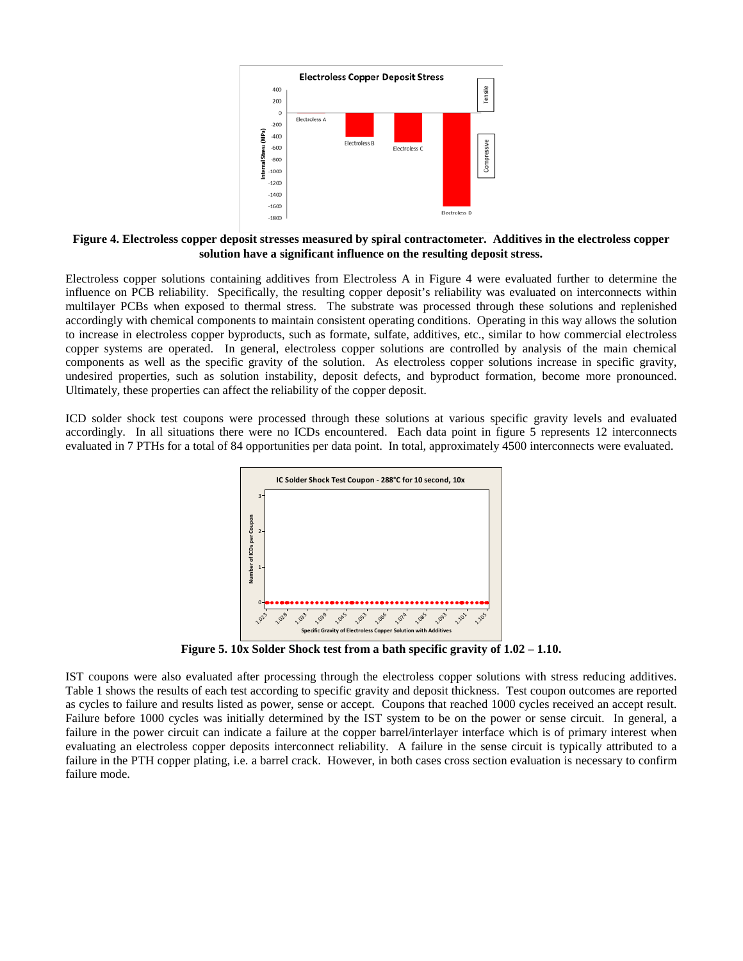

**Figure 4. Electroless copper deposit stresses measured by spiral contractometer. Additives in the electroless copper solution have a significant influence on the resulting deposit stress.**

Electroless copper solutions containing additives from Electroless A in Figure 4 were evaluated further to determine the influence on PCB reliability. Specifically, the resulting copper deposit's reliability was evaluated on interconnects within multilayer PCBs when exposed to thermal stress. The substrate was processed through these solutions and replenished accordingly with chemical components to maintain consistent operating conditions. Operating in this way allows the solution to increase in electroless copper byproducts, such as formate, sulfate, additives, etc., similar to how commercial electroless copper systems are operated. In general, electroless copper solutions are controlled by analysis of the main chemical components as well as the specific gravity of the solution. As electroless copper solutions increase in specific gravity, undesired properties, such as solution instability, deposit defects, and byproduct formation, become more pronounced. Ultimately, these properties can affect the reliability of the copper deposit.

ICD solder shock test coupons were processed through these solutions at various specific gravity levels and evaluated accordingly. In all situations there were no ICDs encountered. Each data point in figure 5 represents 12 interconnects evaluated in 7 PTHs for a total of 84 opportunities per data point. In total, approximately 4500 interconnects were evaluated.



**Figure 5. 10x Solder Shock test from a bath specific gravity of 1.02 – 1.10.**

IST coupons were also evaluated after processing through the electroless copper solutions with stress reducing additives. Table 1 shows the results of each test according to specific gravity and deposit thickness. Test coupon outcomes are reported as cycles to failure and results listed as power, sense or accept. Coupons that reached 1000 cycles received an accept result. Failure before 1000 cycles was initially determined by the IST system to be on the power or sense circuit. In general, a failure in the power circuit can indicate a failure at the copper barrel/interlayer interface which is of primary interest when evaluating an electroless copper deposits interconnect reliability. A failure in the sense circuit is typically attributed to a failure in the PTH copper plating, i.e. a barrel crack. However, in both cases cross section evaluation is necessary to confirm failure mode.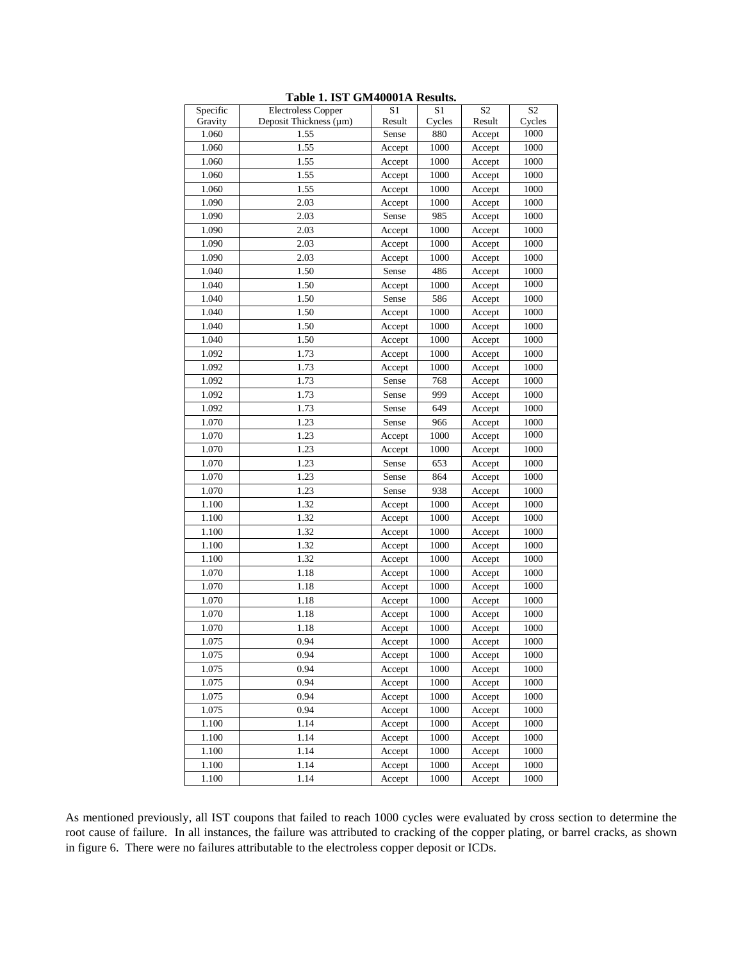| Specific | <b>Electroless Copper</b> | S <sub>1</sub> | S1     | S <sub>2</sub> | S <sub>2</sub> |
|----------|---------------------------|----------------|--------|----------------|----------------|
| Gravity  | Deposit Thickness (µm)    | Result         | Cycles | Result         | Cycles         |
| 1.060    | 1.55                      | Sense          | 880    | Accept         | 1000           |
| 1.060    | 1.55                      | Accept         | 1000   | Accept         | 1000           |
| 1.060    | 1.55                      | Accept         | 1000   | Accept         | 1000           |
| 1.060    | 1.55                      | Accept         | 1000   | Accept         | 1000           |
| 1.060    | 1.55                      | Accept         | 1000   | Accept         | 1000           |
| 1.090    | 2.03                      | Accept         | 1000   | Accept         | 1000           |
| 1.090    | 2.03                      | Sense          | 985    | Accept         | 1000           |
| 1.090    | 2.03                      | Accept         | 1000   | Accept         | 1000           |
| 1.090    | 2.03                      | Accept         | 1000   | Accept         | 1000           |
| 1.090    | 2.03                      | Accept         | 1000   | Accept         | 1000           |
| 1.040    | 1.50                      | Sense          | 486    | Accept         | 1000           |
| 1.040    | 1.50                      | Accept         | 1000   | Accept         | 1000           |
| 1.040    | 1.50                      | Sense          | 586    | Accept         | 1000           |
| 1.040    | 1.50                      | Accept         | 1000   | Accept         | 1000           |
| 1.040    | 1.50                      | Accept         | 1000   | Accept         | 1000           |
| 1.040    | 1.50                      | Accept         | 1000   | Accept         | 1000           |
| 1.092    | 1.73                      | Accept         | 1000   | Accept         | 1000           |
| 1.092    | 1.73                      | Accept         | 1000   | Accept         | 1000           |
| 1.092    | 1.73                      | Sense          | 768    | Accept         | 1000           |
| 1.092    | 1.73                      | Sense          | 999    | Accept         | 1000           |
| 1.092    | 1.73                      | Sense          | 649    | Accept         | 1000           |
| 1.070    | 1.23                      | Sense          | 966    | Accept         | 1000           |
| 1.070    | 1.23                      | Accept         | 1000   | Accept         | 1000           |
| 1.070    | 1.23                      | Accept         | 1000   | Accept         | 1000           |
| 1.070    | 1.23                      | Sense          | 653    | Accept         | 1000           |
| 1.070    | 1.23                      | Sense          | 864    | Accept         | 1000           |
| 1.070    | 1.23                      | Sense          | 938    | Accept         | 1000           |
| 1.100    | 1.32                      | Accept         | 1000   | Accept         | 1000           |
| 1.100    | 1.32                      | Accept         | 1000   | Accept         | 1000           |
| 1.100    | 1.32                      | Accept         | 1000   | Accept         | 1000           |
| 1.100    | 1.32                      | Accept         | 1000   | Accept         | 1000           |
| 1.100    | 1.32                      | Accept         | 1000   | Accept         | 1000           |
| 1.070    | 1.18                      | Accept         | 1000   | Accept         | 1000           |
| 1.070    | 1.18                      | Accept         | 1000   | Accept         | 1000           |
| 1.070    | 1.18                      | Accept         | 1000   | Accept         | 1000           |
| 1.070    | 1.18                      | Accept         | 1000   | Accept         | 1000           |
| 1.070    | 1.18                      | Accept         | 1000   | Accept         | 1000           |
| 1.075    | 0.94                      | Accept         | 1000   | Accept         | 1000           |
| 1.075    | 0.94                      | Accept         | 1000   | Accept         | 1000           |
| 1.075    | 0.94                      | Accept         | 1000   | Accept         | 1000           |
| 1.075    | 0.94                      | Accept         | 1000   | Accept         | 1000           |
| 1.075    | 0.94                      | Accept         | 1000   | Accept         | 1000           |
| 1.075    | 0.94                      | Accept         | 1000   | Accept         | 1000           |
| 1.100    | 1.14                      | Accept         | 1000   | Accept         | 1000           |
| 1.100    | 1.14                      | Accept         | 1000   | Accept         | 1000           |
| 1.100    | 1.14                      | Accept         | 1000   | Accept         | 1000           |
| 1.100    | 1.14                      | Accept         | 1000   | Accept         | 1000           |
| 1.100    | 1.14                      | Accept         | 1000   | Accept         | 1000           |

**Table 1. IST GM40001A Results.**

As mentioned previously, all IST coupons that failed to reach 1000 cycles were evaluated by cross section to determine the root cause of failure. In all instances, the failure was attributed to cracking of the copper plating, or barrel cracks, as shown in figure 6. There were no failures attributable to the electroless copper deposit or ICDs.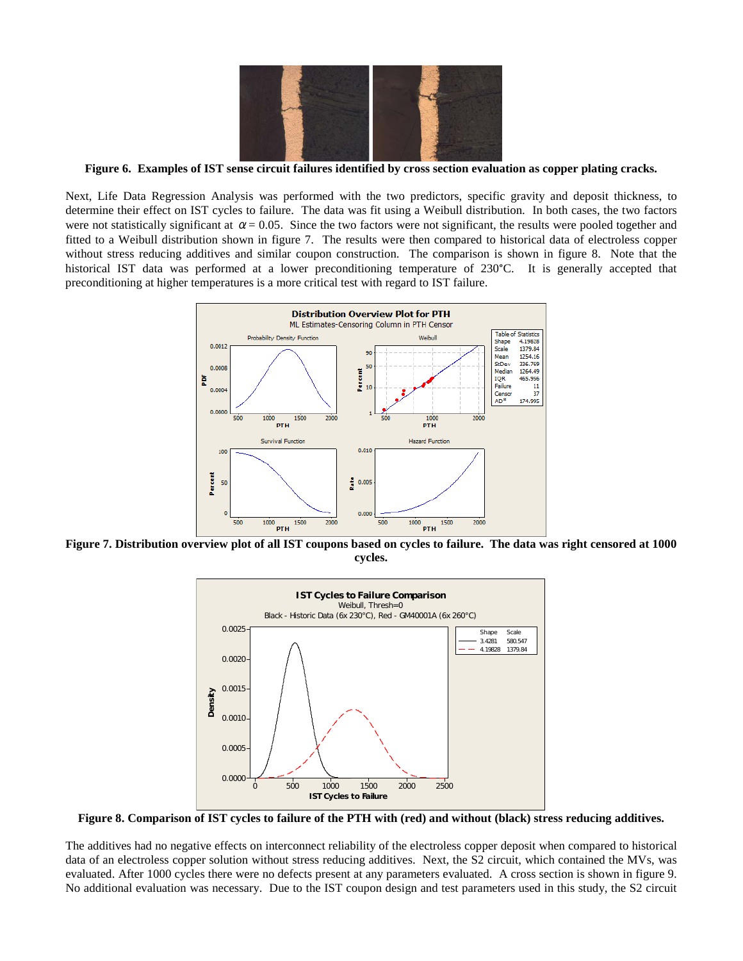

**Figure 6. Examples of IST sense circuit failures identified by cross section evaluation as copper plating cracks.**

Next, Life Data Regression Analysis was performed with the two predictors, specific gravity and deposit thickness, to determine their effect on IST cycles to failure. The data was fit using a Weibull distribution. In both cases, the two factors were not statistically significant at  $\alpha = 0.05$ . Since the two factors were not significant, the results were pooled together and fitted to a Weibull distribution shown in figure 7. The results were then compared to historical data of electroless copper without stress reducing additives and similar coupon construction. The comparison is shown in figure 8. Note that the historical IST data was performed at a lower preconditioning temperature of 230°C. It is generally accepted that preconditioning at higher temperatures is a more critical test with regard to IST failure.



**Figure 7. Distribution overview plot of all IST coupons based on cycles to failure. The data was right censored at 1000 cycles.**



**Figure 8. Comparison of IST cycles to failure of the PTH with (red) and without (black) stress reducing additives.**

The additives had no negative effects on interconnect reliability of the electroless copper deposit when compared to historical data of an electroless copper solution without stress reducing additives. Next, the S2 circuit, which contained the MVs, was evaluated. After 1000 cycles there were no defects present at any parameters evaluated. A cross section is shown in figure 9. No additional evaluation was necessary. Due to the IST coupon design and test parameters used in this study, the S2 circuit